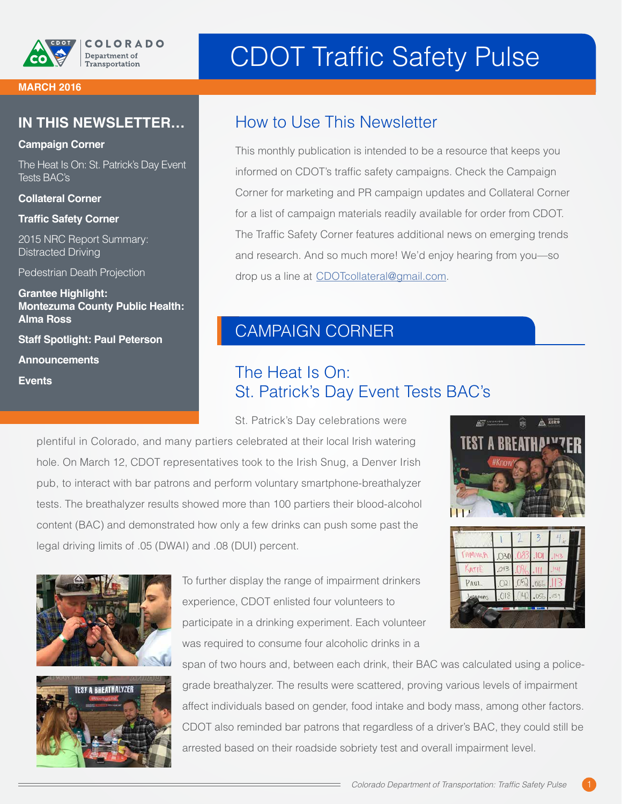

# CDOT Traffic Safety Pulse

#### **MARCH 2016**

#### **IN THIS NEWSLETTER…**

#### **Campaign Corner**

The Heat Is On: St. Patrick's Day Event Tests BAC's

**Collateral Corner**

**Traffic Safety Corner**

2015 NRC Report Summary: Distracted Driving

Pedestrian Death Projection

**Grantee Highlight: Montezuma County Public Health: Alma Ross Staff Spotlight: Paul Peterson**

**Announcements** 

**Events**

#### How to Use This Newsletter

This monthly publication is intended to be a resource that keeps you informed on CDOT's traffic safety campaigns. Check the Campaign Corner for marketing and PR campaign updates and Collateral Corner for a list of campaign materials readily available for order from CDOT. The Traffic Safety Corner features additional news on emerging trends and research. And so much more! We'd enjoy hearing from you—so drop us a line at [CDOTcollateral@gmail.com](mailto:CDOTcollateral%40gmail.com?subject=).

### CAMPAIGN CORNER

### The Heat Is On: St. Patrick's Day Event Tests BAC's

St. Patrick's Day celebrations were

plentiful in Colorado, and many partiers celebrated at their local Irish watering hole. On March 12, CDOT representatives took to the Irish Snug, a Denver Irish pub, to interact with bar patrons and perform voluntary smartphone-breathalyzer tests. The breathalyzer results showed more than 100 partiers their blood-alcohol content (BAC) and demonstrated how only a few drinks can push some past the legal driving limits of .05 (DWAI) and .08 (DUI) percent.







To further display the range of impairment drinkers experience, CDOT enlisted four volunteers to participate in a drinking experiment. Each volunteer was required to consume four alcoholic drinks in a

AMARP  $O<sub>30</sub>$ KATIL PAUL  $A19$ 

span of two hours and, between each drink, their BAC was calculated using a policegrade breathalyzer. The results were scattered, proving various levels of impairment affect individuals based on gender, food intake and body mass, among other factors. CDOT also reminded bar patrons that regardless of a driver's BAC, they could still be arrested based on their roadside sobriety test and overall impairment level.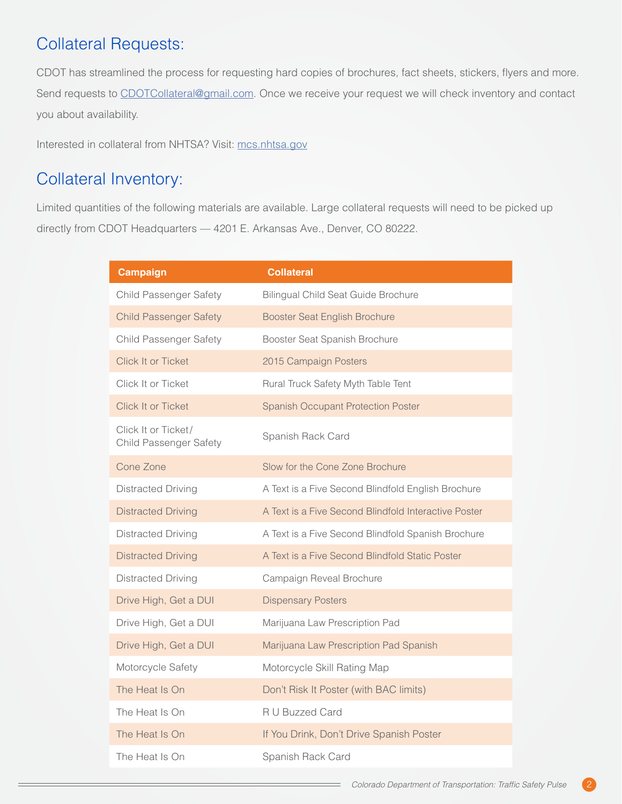# Collateral Requests:

CDOT has streamlined the process for requesting hard copies of brochures, fact sheets, stickers, flyers and more. Send requests to [CDOTCollateral@gmail.com.](mailto:CDOTcollateral%40gmail.com?subject=) Once we receive your request we will check inventory and contact you about availability.

Interested in collateral from NHTSA? Visit: [mcs.nhtsa.gov](https://mcs.nhtsa.gov/)

# Collateral Inventory:

Limited quantities of the following materials are available. Large collateral requests will need to be picked up directly from CDOT Headquarters — 4201 E. Arkansas Ave., Denver, CO 80222.

| <b>Campaign</b>                                      | <b>Collateral</b>                                    |
|------------------------------------------------------|------------------------------------------------------|
| <b>Child Passenger Safety</b>                        | <b>Bilingual Child Seat Guide Brochure</b>           |
| <b>Child Passenger Safety</b>                        | <b>Booster Seat English Brochure</b>                 |
| <b>Child Passenger Safety</b>                        | Booster Seat Spanish Brochure                        |
| Click It or Ticket                                   | 2015 Campaign Posters                                |
| Click It or Ticket                                   | Rural Truck Safety Myth Table Tent                   |
| Click It or Ticket                                   | <b>Spanish Occupant Protection Poster</b>            |
| Click It or Ticket/<br><b>Child Passenger Safety</b> | Spanish Rack Card                                    |
| Cone Zone                                            | Slow for the Cone Zone Brochure                      |
| <b>Distracted Driving</b>                            | A Text is a Five Second Blindfold English Brochure   |
| <b>Distracted Driving</b>                            | A Text is a Five Second Blindfold Interactive Poster |
| <b>Distracted Driving</b>                            | A Text is a Five Second Blindfold Spanish Brochure   |
| <b>Distracted Driving</b>                            | A Text is a Five Second Blindfold Static Poster      |
| <b>Distracted Driving</b>                            | Campaign Reveal Brochure                             |
| Drive High, Get a DUI                                | <b>Dispensary Posters</b>                            |
| Drive High, Get a DUI                                | Marijuana Law Prescription Pad                       |
| Drive High, Get a DUI                                | Marijuana Law Prescription Pad Spanish               |
| Motorcycle Safety                                    | Motorcycle Skill Rating Map                          |
| The Heat Is On                                       | Don't Risk It Poster (with BAC limits)               |
| The Heat Is On                                       | R U Buzzed Card                                      |
| The Heat Is On                                       | If You Drink, Don't Drive Spanish Poster             |
| The Heat Is On                                       | Spanish Rack Card                                    |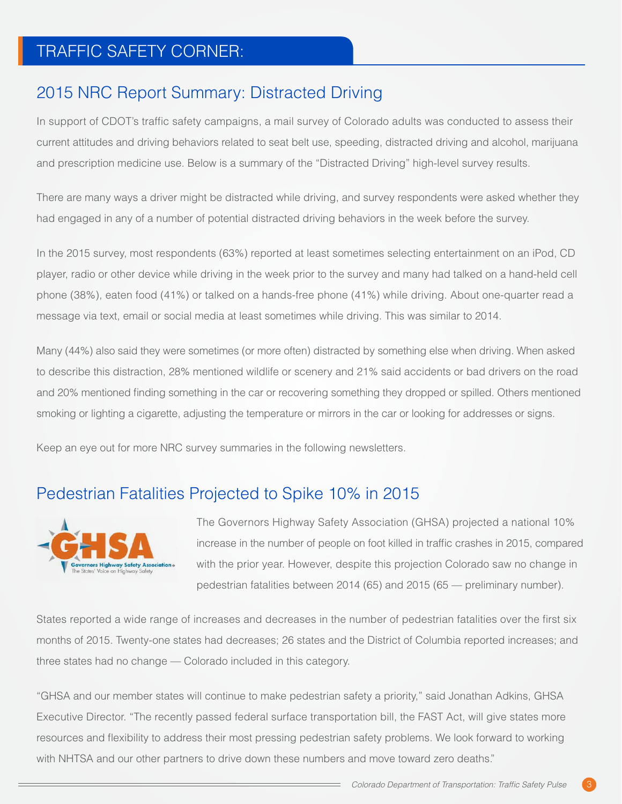# TRAFFIC SAFETY CORNER:

### 2015 NRC Report Summary: Distracted Driving

In support of CDOT's traffic safety campaigns, a mail survey of Colorado adults was conducted to assess their current attitudes and driving behaviors related to seat belt use, speeding, distracted driving and alcohol, marijuana and prescription medicine use. Below is a summary of the "Distracted Driving" high-level survey results.

There are many ways a driver might be distracted while driving, and survey respondents were asked whether they had engaged in any of a number of potential distracted driving behaviors in the week before the survey.

In the 2015 survey, most respondents (63%) reported at least sometimes selecting entertainment on an iPod, CD player, radio or other device while driving in the week prior to the survey and many had talked on a hand-held cell phone (38%), eaten food (41%) or talked on a hands-free phone (41%) while driving. About one-quarter read a message via text, email or social media at least sometimes while driving. This was similar to 2014.

Many (44%) also said they were sometimes (or more often) distracted by something else when driving. When asked to describe this distraction, 28% mentioned wildlife or scenery and 21% said accidents or bad drivers on the road and 20% mentioned finding something in the car or recovering something they dropped or spilled. Others mentioned smoking or lighting a cigarette, adjusting the temperature or mirrors in the car or looking for addresses or signs.

Keep an eye out for more NRC survey summaries in the following newsletters.

#### Pedestrian Fatalities Projected to Spike 10% in 2015



The Governors Highway Safety Association (GHSA) projected a national 10% increase in the number of people on foot killed in traffic crashes in 2015, compared with the prior year. However, despite this projection Colorado saw no change in pedestrian fatalities between 2014 (65) and 2015 (65 — preliminary number).

States reported a wide range of increases and decreases in the number of pedestrian fatalities over the first six months of 2015. Twenty-one states had decreases; 26 states and the District of Columbia reported increases; and three states had no change — Colorado included in this category.

"GHSA and our member states will continue to make pedestrian safety a priority," said Jonathan Adkins, GHSA Executive Director. "The recently passed federal surface transportation bill, the FAST Act, will give states more resources and flexibility to address their most pressing pedestrian safety problems. We look forward to working with NHTSA and our other partners to drive down these numbers and move toward zero deaths."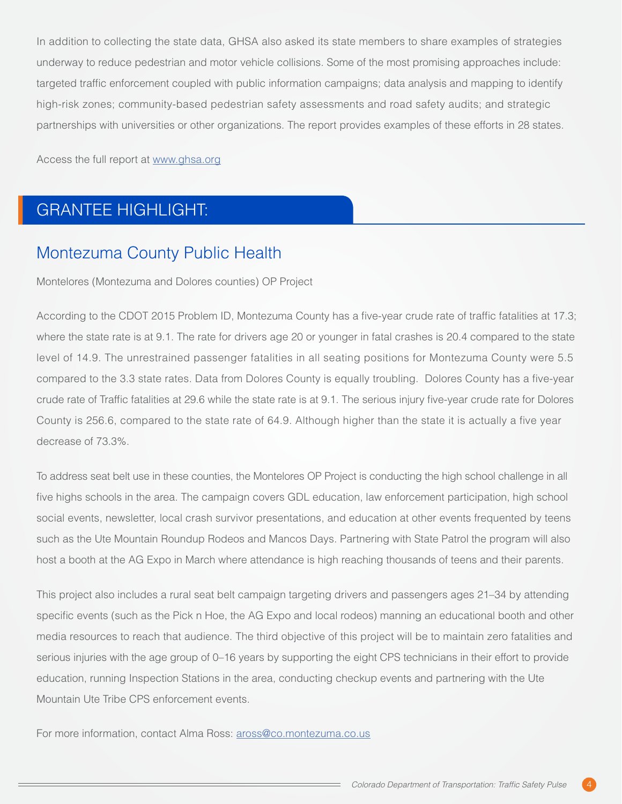In addition to collecting the state data, GHSA also asked its state members to share examples of strategies underway to reduce pedestrian and motor vehicle collisions. Some of the most promising approaches include: targeted traffic enforcement coupled with public information campaigns; data analysis and mapping to identify high-risk zones; community-based pedestrian safety assessments and road safety audits; and strategic partnerships with universities or other organizations. The report provides examples of these efforts in 28 states.

Access the full report at [www.ghsa.org](http://www.ghsa.org/)

# GRANTEE HIGHLIGHT:

### Montezuma County Public Health

Montelores (Montezuma and Dolores counties) OP Project

According to the CDOT 2015 Problem ID, Montezuma County has a five-year crude rate of traffic fatalities at 17.3; where the state rate is at 9.1. The rate for drivers age 20 or younger in fatal crashes is 20.4 compared to the state level of 14.9. The unrestrained passenger fatalities in all seating positions for Montezuma County were 5.5 compared to the 3.3 state rates. Data from Dolores County is equally troubling. Dolores County has a five-year crude rate of Traffic fatalities at 29.6 while the state rate is at 9.1. The serious injury five-year crude rate for Dolores County is 256.6, compared to the state rate of 64.9. Although higher than the state it is actually a five year decrease of 73.3%.

To address seat belt use in these counties, the Montelores OP Project is conducting the high school challenge in all five highs schools in the area. The campaign covers GDL education, law enforcement participation, high school social events, newsletter, local crash survivor presentations, and education at other events frequented by teens such as the Ute Mountain Roundup Rodeos and Mancos Days. Partnering with State Patrol the program will also host a booth at the AG Expo in March where attendance is high reaching thousands of teens and their parents.

This project also includes a rural seat belt campaign targeting drivers and passengers ages 21–34 by attending specific events (such as the Pick n Hoe, the AG Expo and local rodeos) manning an educational booth and other media resources to reach that audience. The third objective of this project will be to maintain zero fatalities and serious injuries with the age group of 0–16 years by supporting the eight CPS technicians in their effort to provide education, running Inspection Stations in the area, conducting checkup events and partnering with the Ute Mountain Ute Tribe CPS enforcement events.

For more information, contact Alma Ross: [aross@co.montezuma.co.us](mailto:aross%40co.montezuma.co.us?subject=)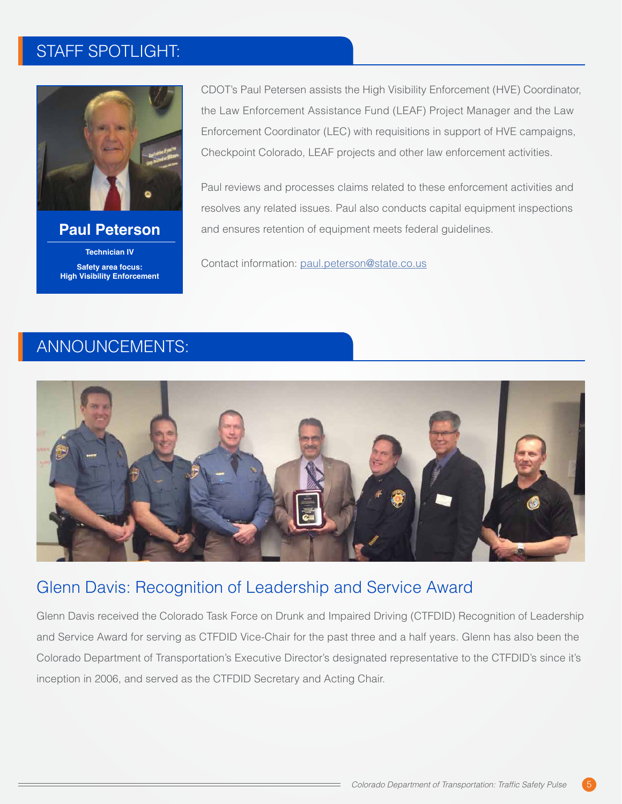# STAFF SPOTLIGHT:



#### **Paul Peterson Technician IV Safety area focus: High Visibility Enforcement**

CDOT's Paul Petersen assists the High Visibility Enforcement (HVE) Coordinator, the Law Enforcement Assistance Fund (LEAF) Project Manager and the Law Enforcement Coordinator (LEC) with requisitions in support of HVE campaigns, Checkpoint Colorado, LEAF projects and other law enforcement activities.

Paul reviews and processes claims related to these enforcement activities and resolves any related issues. Paul also conducts capital equipment inspections and ensures retention of equipment meets federal guidelines.

Contact information: [paul.peterson@state.co.us](mailto:paul.peterson%40state.co.us?subject=)

### ANNOUNCEMENTS:



#### Glenn Davis: Recognition of Leadership and Service Award

Glenn Davis received the Colorado Task Force on Drunk and Impaired Driving (CTFDID) Recognition of Leadership and Service Award for serving as CTFDID Vice-Chair for the past three and a half years. Glenn has also been the Colorado Department of Transportation's Executive Director's designated representative to the CTFDID's since it's inception in 2006, and served as the CTFDID Secretary and Acting Chair.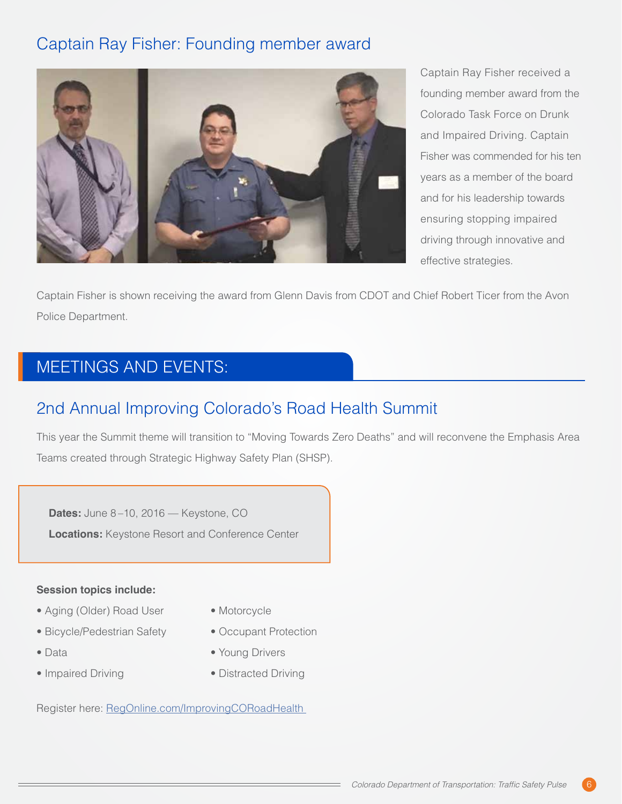# Captain Ray Fisher: Founding member award



Captain Ray Fisher received a founding member award from the Colorado Task Force on Drunk and Impaired Driving. Captain Fisher was commended for his ten years as a member of the board and for his leadership towards ensuring stopping impaired driving through innovative and effective strategies.

Captain Fisher is shown receiving the award from Glenn Davis from CDOT and Chief Robert Ticer from the Avon Police Department.

# MEETINGS AND EVENTS:

# 2nd Annual Improving Colorado's Road Health Summit

This year the Summit theme will transition to "Moving Towards Zero Deaths" and will reconvene the Emphasis Area Teams created through Strategic Highway Safety Plan (SHSP).

**Dates:** June 8 –10, 2016 — Keystone, CO **Locations:** Keystone Resort and Conference Center

#### **Session topics include:**

- Aging (Older) Road User
- Bicycle/Pedestrian Safety
- Data
- Impaired Driving
- Motorcycle
- Occupant Protection
- Young Drivers
- Distracted Driving

Register here: RegOnline.com/ImprovingCORoadHealth